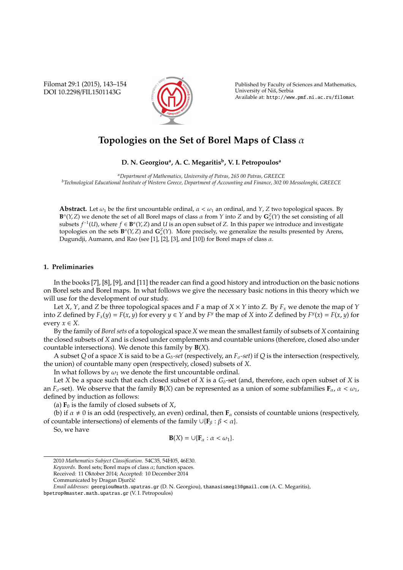Filomat 29:1 (2015), 143–154 DOI 10.2298/FIL1501143G



Published by Faculty of Sciences and Mathematics, University of Nis, Serbia ˇ Available at: http://www.pmf.ni.ac.rs/filomat

# **Topologies on the Set of Borel Maps of Class** α

# **D. N. Georgiou<sup>a</sup> , A. C. Megaritis<sup>b</sup> , V. I. Petropoulos<sup>a</sup>**

*<sup>a</sup>Department of Mathematics, University of Patras, 265 00 Patras, GREECE <sup>b</sup>Technological Educational Institute of Western Greece, Department of Accounting and Finance, 302 00 Messolonghi, GREECE*

**Abstract.** Let  $\omega_1$  be the first uncountable ordinal,  $\alpha < \omega_1$  an ordinal, and *Y*, *Z* two topological spaces. By **B**<sup> $\alpha$ </sup>(*Y*,*Z*) we denote the set of all Borel maps of class  $\alpha$  from *Y* into *Z* and by  $G_{\alpha}^{Z}(Y)$  the set consisting of all subsets  $f^{-1}(U)$ , where  $f \in \mathbf{B}^{\alpha}(Y, Z)$  and  $U$  is an open subset of  $Z$ . In this paper we introduce and investigate topologies on the sets  $\mathbf{B}^{\alpha}(Y, Z)$  and  $\mathbf{G}^Z_{\alpha}(Y)$ . More precisely, we generalize the results presented by Arens, Dugundji, Aumann, and Rao (see [1], [2], [3], and [10]) for Borel maps of class  $\alpha$ .

#### **1. Preliminaries**

In the books [7], [8], [9], and [11] the reader can find a good history and introduction on the basic notions on Borel sets and Borel maps. In what follows we give the necessary basic notions in this theory which we will use for the development of our study.

Let *X*, *Y*, and *Z* be three topological spaces and *F* a map of *X* × *Y* into *Z*. By *F<sup>x</sup>* we denote the map of *Y* into Z defined by  $F_x(y) = F(x, y)$  for every  $y \in Y$  and by  $F^y$  the map of X into Z defined by  $F^y(x) = F(x, y)$  for every  $x \in X$ .

By the family of *Borel sets* of a topological space *X* we mean the smallest family of subsets of *X* containing the closed subsets of *X* and is closed under complements and countable unions (therefore, closed also under countable intersections). We denote this family by **B**(*X*).

A subset *Q* of a space *X* is said to be a  $G_{\delta}$ -set (respectively, an  $F_{\sigma}$ -set) if *Q* is the intersection (respectively, the union) of countable many open (respectively, closed) subsets of *X*.

In what follows by  $\omega_1$  we denote the first uncountable ordinal.

Let *X* be a space such that each closed subset of *X* is a  $G_{\delta}$ -set (and, therefore, each open subset of *X* is an *F*<sub>σ</sub>-set). We observe that the family **B**(*X*) can be represented as a union of some subfamilies  $\mathbf{F}_{\alpha}$ ,  $\alpha < \omega_1$ , defined by induction as follows:

(a)  $\mathbf{F}_0$  is the family of closed subsets of *X*,

(b) if  $\alpha \neq 0$  is an odd (respectively, an even) ordinal, then **F**<sub>α</sub> consists of countable unions (respectively, of countable intersections) of elements of the family ∪{**F**<sup>β</sup> : β < α}.

So, we have

$$
\mathbf{B}(X)=\cup\{\mathbf{F}_{\alpha}:\alpha<\omega_1\}.
$$

<sup>2010</sup> *Mathematics Subject Classification*. 54C35, 54H05, 46E30.

*Keywords*. Borel sets; Borel maps of class α; function spaces.

Received: 11 Oktober 2014; Accepted: 10 December 2014

Communicated by Dragan Djurčić

*Email addresses:* georgiou@math.upatras.gr (D. N. Georgiou), thanasismeg13@gmail.com (A. C. Megaritis),

bpetrop@master.math.upatras.gr (V. I. Petropoulos)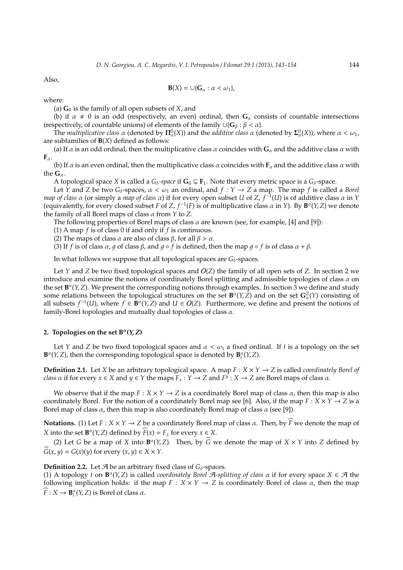Also,

$$
\mathbf{B}(X) = \cup \{ \mathbf{G}_{\alpha} : \alpha < \omega_1 \},
$$

where:

(a)  $\mathbf{G}_0$  is the family of all open subsets of *X*, and

(b) if  $\alpha \neq 0$  is an odd (respectively, an even) ordinal, then  $G_\alpha$  consists of countable intersections (respectively, of countable unions) of elements of the family  $\cup \{G_\beta : \beta < \alpha\}$ .

The *multiplicative class*  $\alpha$  (denoted by  $\Pi^0_\alpha(X)$ ) and the *additive class*  $\alpha$  (denoted by  $\Sigma^0_\alpha(X)$ ), where  $\alpha < \omega_1$ , are subfamilies of **B**(*X*) defined as follows:

(a) If  $\alpha$  is an odd ordinal, then the multiplicative class  $\alpha$  coincides with  $G_\alpha$  and the additive class  $\alpha$  with  $\mathbf{F}_{\alpha}$ .

(b) If  $\alpha$  is an even ordinal, then the multiplicative class  $\alpha$  coincides with  $\mathbf{F}_\alpha$  and the additive class  $\alpha$  with the  $\mathbf{G}_{\alpha}$ .

A topological space *X* is called a  $G_{\delta}$ -space if  $G_0 \subseteq F_1$ . Note that every metric space is a  $G_{\delta}$ -space.

Let *Y* and *Z* be two  $G_\delta$ -spaces,  $\alpha < \omega_1$  an ordinal, and  $f : Y \to Z$  a map. The map *f* is called a *Borel map of class* α (or simply a *map of class* α) if for every open subset *U* of *Z*, *f* −1 (*U*) is of additive class α in *Y* (equivalently, for every closed subset *F* of *Z*,  $f^{-1}(F)$  is of multiplicative class  $\alpha$  in *Y*). By  $B^{\alpha}(Y, Z)$  we denote the family of all Borel maps of class α from *Y* to *Z*.

The following properties of Borel maps of class  $\alpha$  are known (see, for example, [4] and [9]):

(1) A map *f* is of class 0 if and only if *f* is continuous.

(2) The maps of class  $\alpha$  are also of class  $\beta$ , for all  $\beta > \alpha$ .

(3) If *f* is of class  $\alpha$ , q of class  $\beta$ , and  $q \circ f$  is defined, then the map  $q \circ f$  is of class  $\alpha + \beta$ .

In what follows we suppose that all topological spaces are  $G_{\delta}$ -spaces.

Let *Y* and *Z* be two fixed topological spaces and O(*Z*) the family of all open sets of *Z*. In section 2 we introduce and examine the notions of coordinately Borel splitting and admissible topologies of class  $\alpha$  on the set **B** α (*Y*,*Z*). We present the corresponding notions through examples. In section 3 we define and study some relations between the topological structures on the set  $\mathbf{B}^{\alpha}(Y,Z)$  and on the set  $\mathbf{G}_{\alpha}^{Z}(Y)$  consisting of all subsets  $f^{-1}(U)$ , where  $f \in \mathbf{B}^{\alpha}(Y, Z)$  and  $U \in O(Z)$ . Furthermore, we define and present the notions of family-Borel topologies and mutually dual topologies of class  $\alpha$ .

# 2. Topologies on the set  $B^{\alpha}(Y, Z)$

Let *Y* and *Z* be two fixed topological spaces and  $\alpha < \omega_1$  a fixed ordinal. If *t* is a topology on the set  $\mathbf{B}^{\alpha}(Y, Z)$ , then the corresponding topological space is denoted by  $\mathbf{B}^{\alpha}_{t}(Y, Z)$ .

**Definition 2.1.** Let *X* be an arbitrary topological space. A map  $F : X \times Y \rightarrow Z$  is called *coordinately Borel of class*  $\alpha$  if for every  $x \in X$  and  $y \in Y$  the maps  $\overline{F}_x : Y \to Z$  and  $F^{\hat{y}} : X \to Z$  are Borel maps of class  $\alpha$ .

We observe that if the map  $F: X \times Y \to Z$  is a coordinately Borel map of class  $\alpha$ , then this map is also coordinately Borel. For the notion of a coordinately Borel map see [6]. Also, if the map  $F : X \times Y \to Z$  is a Borel map of class  $\alpha$ , then this map is also coordinately Borel map of class  $\alpha$  (see [9]).

**Notations.** (1) Let  $F : X \times Y \to Z$  be a coordinately Borel map of class  $\alpha$ . Then, by  $\widehat{F}$  we denote the map of *X* into the set  $\mathbf{B}^{\alpha}(Y, Z)$  defined by  $\widehat{F}(x) = F_x$  for every  $x \in X$ .

(2) Let *G* be a map of *X* into  $\mathbf{B}^{\alpha}(Y, Z)$ . Then, by  $\widetilde{G}$  we denote the map of  $X \times Y$  into *Z* defined by  $G(x, y) = G(x)(y)$  for every  $(x, y) \in X \times Y$ .

**Definition 2.2.** Let  $\mathcal{A}$  be an arbitrary fixed class of  $G_{\delta}$ -spaces.

(1) A topology *t* on  $\mathbf{B}^{\alpha}(Y, Z)$  is called *coordinately Borel* A-splitting of class  $\alpha$  if for every space  $X \in \mathcal{A}$  the following implication holds: if the map  $F : X \times Y \to Z$  is coordinately Borel of class  $\alpha$ , then the map  $\widehat{F}: X \to \mathbf{B}_{t}^{\alpha}(Y, Z)$  is Borel of class  $\alpha$ .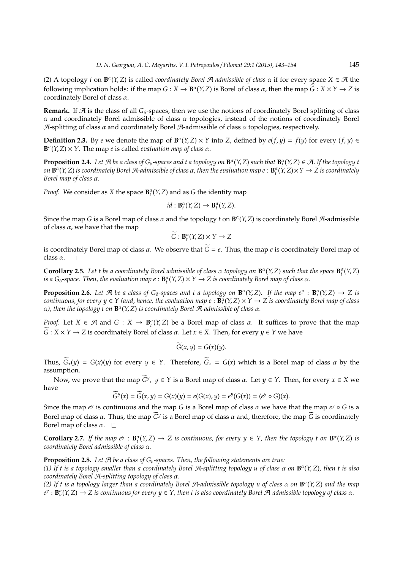(2) A topology *t* on  $\mathbf{B}^{\alpha}(Y, Z)$  is called *coordinately Borel A-admissible of class*  $\alpha$  if for every space  $X \in \mathcal{A}$  the following implication holds: if the map  $G : X \to \mathbf{B}^{\alpha}(Y, Z)$  is Borel of class  $\alpha$ , then the map  $\widetilde{G} : X \times Y \to Z$  is coordinately Borel of class  $\alpha$ .

**Remark.** If  $\mathcal{A}$  is the class of all  $G_{\delta}$ -spaces, then we use the notions of coordinately Borel splitting of class α and coordinately Borel admissible of class α topologies, instead of the notions of coordinately Borel A-splitting of class  $\alpha$  and coordinately Borel A-admissible of class  $\alpha$  topologies, respectively.

**Definition 2.3.** By *e* we denote the map of  $\mathbf{B}^{\alpha}(Y, Z) \times Y$  into *Z*, defined by  $e(f, y) = f(y)$  for every  $(f, y) \in$ **B**<sup> $α$ </sup>(*Y*, *Z*) × *Y*. The map *e* is called *evaluation map of class*  $α$ .

**Proposition 2.4.** Let  $\mathcal{A}$  be a class of  $G_\delta$ -spaces and t a topology on  $\mathbf{B}^\alpha(Y, Z)$  such that  $\mathbf{B}^\alpha_t(Y, Z) \in \mathcal{A}$ . If the topology t *on* **B** α (*Y*,*Z*) *is coordinately Borel* A*-admissible of class* α*, then the evaluation map e* : **B** α *t* (*Y*, *Z*)×*Y* → *Z is coordinately Borel map of class* α*.*

*Proof.* We consider as *X* the space  $\mathbf{B}_{t}^{\alpha}(Y, Z)$  and as *G* the identity map

$$
id: \mathbf{B}_t^{\alpha}(Y, Z) \to \mathbf{B}_t^{\alpha}(Y, Z).
$$

Since the map *G* is a Borel map of class  $\alpha$  and the topology *t* on  $\mathbf{B}^{\alpha}(Y, Z)$  is coordinately Borel A-admissible of class  $\alpha$ , we have that the map

$$
\widetilde{G}: \mathbf{B}_{t}^{\alpha}(Y, Z) \times Y \to Z
$$

is coordinately Borel map of class  $\alpha$ . We observe that  $\tilde{G} = e$ . Thus, the map *e* is coordinately Borel map of class  $\alpha$ .  $\square$ 

**Corollary 2.5.** Let t be a coordinately Borel admissible of class  $\alpha$  topology on  $\mathbf{B}^{\alpha}(Y, Z)$  such that the space  $\mathbf{B}^{\alpha}_t(Y, Z)$ *is a*  $G_{\delta}$ -space. Then, the evaluation map  $e : \mathbf{B}_{t}^{\alpha}(Y, Z) \times Y \to Z$  is coordinately Borel map of class  $\alpha$ .

**Proposition 2.6.** Let  $\mathcal{A}$  be a class of  $G_\delta$ -spaces and t a topology on  $\mathbf{B}^\alpha(Y, Z)$ . If the map  $e^y : \mathbf{B}^\alpha_t(Y, Z) \to Z$  is *continuous, for every*  $y \in Y$  *(and, hence, the evaluation map*  $e : \mathbf{B}_{t}^{\alpha}(Y, Z) \times Y \to Z$  *is coordinately Borel map of class* α*), then the topology t on* **B** α (*Y*,*Z*) *is coordinately Borel* A*-admissible of class* α*.*

*Proof.* Let  $X \in \mathcal{A}$  and  $G : X \to \mathbf{B}_{t}^{\alpha}(Y, Z)$  be a Borel map of class  $\alpha$ . It suffices to prove that the map  $\widetilde{G}: X \times Y \to Z$  is coordinately Borel of class  $\alpha$ . Let  $x \in X$ . Then, for every  $y \in Y$  we have

$$
G(x, y) = G(x)(y).
$$

Thus,  $\widetilde{G}_x(y) = G(x)(y)$  for every  $y \in Y$ . Therefore,  $\widetilde{G}_x = G(x)$  which is a Borel map of class  $\alpha$  by the assumption.

Now, we prove that the map  $\widetilde{G}^y$ ,  $y \in Y$  is a Borel map of class  $\alpha$ . Let  $y \in Y$ . Then, for every  $x \in X$  we have

$$
\widetilde{G}^y(x) = \widetilde{G}(x,y) = G(x)(y) = e(G(x),y) = e^y(G(x)) = (e^y \circ G)(x).
$$

Since the map  $e^y$  is continuous and the map *G* is a Borel map of class  $\alpha$  we have that the map  $e^y \circ G$  is a Borel map of class  $\alpha$ . Thus, the map  $G^y$  is a Borel map of class  $\alpha$  and, therefore, the map *G* is coordinately Borel map of class  $\alpha$ .  $\square$ 

**Corollary 2.7.** If the map  $e^y$ :  $\mathbf{B}_t^{\alpha}(Y, Z) \to Z$  is continuous, for every  $y \in Y$ , then the topology t on  $\mathbf{B}^{\alpha}(Y, Z)$  is *coordinately Borel admissible of class* α*.*

## **Proposition 2.8.** Let  $\mathcal{A}$  be a class of  $G_{\delta}$ -spaces. Then, the following statements are true:

*(1) If t is a topology smaller than a coordinately Borel* A*-splitting topology u of class* α *on* **B** α (*Y*,*Z*)*, then t is also coordinately Borel* A*-splitting topology of class* α*.*

*(2) If t is a topology larger than a coordinately Borel* A*-admissible topology u of class* α *on* **B** α (*Y*,*Z*) *and the map*  $e^y$  :  $\mathbf{B}_u^{\alpha}(Y, Z) \to Z$  is continuous for every  $y \in Y$ , then t is also coordinately Borel A-admissible topology of class  $\alpha$ .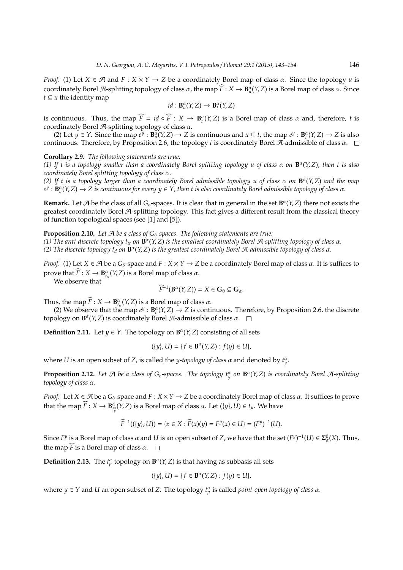*Proof.* (1) Let  $X \in \mathcal{A}$  and  $F : X \times Y \to Z$  be a coordinately Borel map of class  $\alpha$ . Since the topology  $u$  is coordinately Borel A-splitting topology of class  $\alpha$ , the map  $\widehat{F}: X \to \mathbf{B}_{\mu}^{\alpha}(Y, Z)$  is a Borel map of class  $\alpha$ . Since *t* ⊆ *u* the identity map

$$
id: \mathbf{B}_{u}^{\alpha}(Y,Z) \to \mathbf{B}_{t}^{\alpha}(Y,Z)
$$

is continuous. Thus, the map  $\widehat{F} = id \circ \widehat{F} : X \to \mathbf{B}^{\alpha}_{t}(Y, Z)$  is a Borel map of class  $\alpha$  and, therefore, *t* is coordinately Borel  $\mathcal{A}$ -splitting topology of class  $\alpha$ .

(2) Let  $y \in Y$ . Since the map  $e^y : \mathbf{B}_{u}^{\alpha}(Y, Z) \to Z$  is continuous and  $u \subseteq t$ , the map  $e^y : \mathbf{B}_{t}^{\alpha}(Y, Z) \to Z$  is also continuous. Therefore, by Proposition 2.6, the topology *t* is coordinately Borel A-admissible of class α.

#### **Corollary 2.9.** *The following statements are true:*

*(1) If t is a topology smaller than a coordinately Borel splitting topology u of class* α *on* **B** α (*Y*,*Z*)*, then t is also coordinately Borel splitting topology of class* α*.*

*(2) If t is a topology larger than a coordinately Borel admissible topology u of class* α *on* **B** α (*Y*, *Z*) *and the map*  $e^y$  :  $\mathbf{B}^\alpha_u(Y, Z) \to Z$  is continuous for every  $y \in Y$ , then t is also coordinately Borel admissible topology of class  $\alpha$ .

**Remark.** Let  $\mathcal{A}$  be the class of all  $G_{\delta}$ -spaces. It is clear that in general in the set  $B^{\alpha}(Y, Z)$  there not exists the greatest coordinately Borel A-splitting topology. This fact gives a different result from the classical theory of function topological spaces (see [1] and [5]).

**Proposition 2.10.** *Let A be a class of G*<sub>δ</sub>-spaces. The following statements are true:

*(1) The anti-discrete topology ttr on* **B** α (*Y*,*Z*) *is the smallest coordinately Borel* A*-splitting topology of class* α*. (2) The discrete topology t<sup>d</sup> on* **B** α (*Y*,*Z*) *is the greatest coordinately Borel* A*-admissible topology of class* α*.*

*Proof.* (1) Let  $X \in \mathcal{A}$  be a  $G_{\delta}$ -space and  $F : X \times Y \to Z$  be a coordinately Borel map of class  $\alpha$ . It is suffices to prove that  $\widehat{F}$  :  $X \to \mathbf{B}_{t_{tr}}^{\alpha}(Y, Z)$  is a Borel map of class  $\alpha$ .

We observe that

$$
\widehat{F}^{-1}(\mathbf{B}^{\alpha}(Y,Z))=X\in\mathbf{G}_0\subseteq\mathbf{G}_{\alpha}.
$$

Thus, the map  $\widehat{F}: X \to \mathbf{B}_{t_{tr}}^{\alpha}(Y, Z)$  is a Borel map of class  $\alpha$ .

(2) We observe that the map  $e^y : \mathbf{B}_t^{\alpha}(Y, Z) \to Z$  is continuous. Therefore, by Proposition 2.6, the discrete topology on  $\mathbf{B}^{\alpha}(Y, Z)$  is coordinately Borel A-admissible of class  $\alpha$ .

**Definition 2.11.** Let  $y \in Y$ . The topology on  $\mathbf{B}^{\alpha}(Y, Z)$  consisting of all sets

$$
(\{y\}, U) = \{f \in \mathbf{B}^{\alpha}(Y, Z) : f(y) \in U\},\
$$

where *U* is an open subset of *Z*, is called the *y-topology of class*  $\alpha$  and denoted by  $t_{y}^{\alpha}$ .

**Proposition 2.12.** Let  $\mathcal A$  be a class of  $G_\delta$ -spaces. The topology  $t_y^\alpha$  on  $\mathbf B^\alpha(Y,Z)$  is coordinately Borel  $\mathcal A$ -splitting *topology of class* α*.*

*Proof.* Let  $X \in \mathcal{A}$  be a  $G_{\delta}$ -space and  $F : X \times Y \to Z$  be a coordinately Borel map of class  $\alpha$ . It suffices to prove that the map  $\widehat{F}: X \to \mathbf{B}^\alpha_{t_y^\alpha}(Y, Z)$  is a Borel map of class  $\alpha$ . Let  $(\{y\}, U) \in t_y$ . We have

$$
\widehat{F}^{-1}((\{y\}, U)) = \{x \in X: \widehat{F}(x)(y) = F^y(x) \in U\} = (F^y)^{-1}(U).
$$

Since  $F^y$  is a Borel map of class  $\alpha$  and  $U$  is an open subset of  $Z$ , we have that the set  $(F^y)^{-1}(U) \in \Sigma^0_\alpha(X)$ . Thus, the map  $\widehat{F}$  is a Borel map of class  $\alpha$ .  $\Box$ 

**Definition 2.13.** The  $t_p^{\alpha}$  topology on  $\mathbf{B}^{\alpha}(Y, Z)$  is that having as subbasis all sets

$$
(\{y\}, U) = \{f \in \mathbf{B}^{\alpha}(Y, Z) : f(y) \in U\},\
$$

where  $y \in Y$  and *U* an open subset of *Z*. The topology  $t_p^{\alpha}$  is called *point-open topology of class*  $\alpha$ .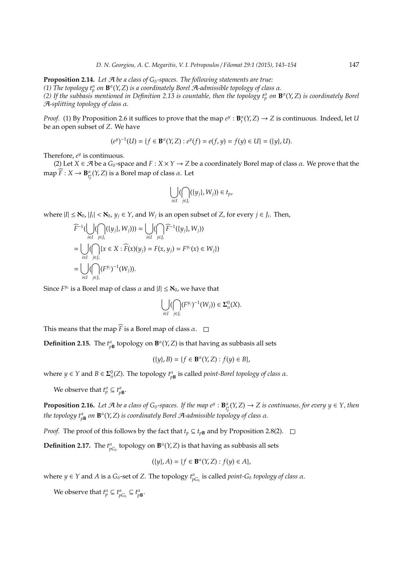**Proposition 2.14.** Let *A* be a class of G<sub>δ</sub>-spaces. The following statements are true: (1) The topology  $t_p^{\alpha}$  on  $\mathbf{B}^{\alpha}(Y, Z)$  is a coordinately Borel A-admissible topology of class  $\alpha$ *.* (2) If the subbasis mentioned in Definition 2.13 is countable, then the topology  $t_p^{\alpha}$  on  $\mathbf{B}^{\alpha}(Y,Z)$  is coordinately Borel A*-splitting topology of class* α*.*

*Proof.* (1) By Proposition 2.6 it suffices to prove that the map  $e^y : \mathbf{B}_t^{\alpha}(Y, Z) \to Z$  is continuous. Indeed, let *U* be an open subset of *Z*. We have

$$
(e^y)^{-1}(U) = \{ f \in \mathbf{B}^{\alpha}(Y, Z) : e^y(f) = e(f, y) = f(y) \in U \} = (\{y\}, U).
$$

Therefore, *e y* is continuous.

(2) Let  $X \in \mathcal{A}$  be a  $G_\delta$ -space and  $F : X \times Y \to Z$  be a coordinately Borel map of class  $\alpha$ . We prove that the  $\max_{\mathcal{F}} \widehat{F}: X \to \mathbf{B}_{t^{\alpha}_{\mu}}^{\alpha}(Y, Z)$  is a Borel map of class  $\alpha$ . Let

$$
\bigcup_{i\in I} (\bigcap_{j\in J_i} (\{y_j\}, W_j)) \in t_p,
$$

where  $|I| \leq \aleph_0$ ,  $|J_i| < \aleph_0$ ,  $y_j \in Y$ , and  $W_j$  is an open subset of *Z*, for every  $j \in J_i$ . Then,

$$
\widehat{F}^{-1}(\bigcup_{i \in I} (\bigcap_{j \in J_i} (\{y_j\}, W_j))) = \bigcup_{i \in I} (\bigcap_{j \in J_i} \widehat{F}^{-1}(\{y_j\}, W_j))
$$
\n
$$
= \bigcup_{i \in I} (\bigcap_{j \in J_i} \{x \in X : \widehat{F}(x)(y_j) = F(x, y_j) = F^{y_j}(x) \in W_j\})
$$
\n
$$
= \bigcup_{i \in I} (\bigcap_{j \in J_i} (F^{y_j})^{-1}(W_j)).
$$

Since  $F^{y_i}$  is a Borel map of class  $\alpha$  and  $|I| \leq \aleph_0$ , we have that

$$
\bigcup_{i\in I} (\bigcap_{j\in J_i} (F^{y_j})^{-1}(W_j))\in \Sigma_{\alpha}^0(X).
$$

This means that the map  $\widehat{F}$  is a Borel map of class  $\alpha$ .  $\Box$ 

**Definition 2.15.** The  $t_{pB}^{\alpha}$  topology on  $\mathbf{B}^{\alpha}(Y, Z)$  is that having as subbasis all sets

$$
(\{y\}, B) = \{f \in \mathbf{B}^{\alpha}(Y, Z) : f(y) \in B\},\
$$

where  $y \in Y$  and  $B \in \Sigma^0_\alpha(Z)$ . The topology  $t^\alpha_{p\mathbf{B}}$  is called *point-Borel topology of class*  $\alpha$ .

We observe that  $t_p^{\alpha} \subseteq t_{p\mathbf{B}}^{\alpha}$ .

**Proposition 2.16.** Let  $\mathcal A$  be a class of  $G_\delta$ -spaces. If the map  $e^y$  :  $\mathbf B^{\alpha}_{t^{\alpha}_p}(Y,Z)\to Z$  is continuous, for every  $y\in Y$ , then the topology  $t_{p\mathbf{B}}^{\alpha}$  on  $\mathbf{B}^{\alpha}(Y,Z)$  is coordinately Borel A-admissible topology of class  $\alpha.$ 

*Proof.* The proof of this follows by the fact that  $t_p \subseteq t_{pB}$  and by Proposition 2.8(2). □

**Definition 2.17.** The  $t^{\alpha}_{pG_{\delta}}$  topology on  $\mathbf{B}^{\alpha}(Y, Z)$  is that having as subbasis all sets

$$
(\{y\}, A) = \{f \in \mathbf{B}^{\alpha}(Y, Z) : f(y) \in A\},\
$$

where  $y \in Y$  and *A* is a  $G_\delta$ -set of *Z*. The topology  $t_{pG_\delta}^{\alpha}$  is called *point-G*<sub> $\delta$ </sub> *topology of class*  $\alpha$ .

We observe that  $t_p^{\alpha} \subseteq t_{pG_{\delta}}^{\alpha} \subseteq t_{pB}^{\alpha}$ .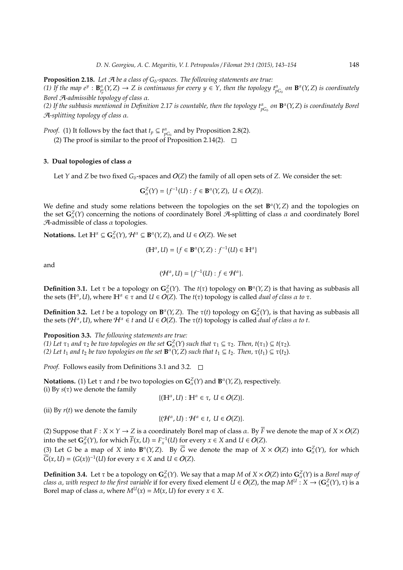**Proposition 2.18.** Let *A* be a class of G<sub>δ</sub>-spaces. The following statements are true: (1) If the map  $e^y$  :  $\mathbf{B}_{t_p^{\alpha}}^{\alpha}(Y, Z) \to Z$  is continuous for every  $y \in Y$ , then the topology  $t_{pG_0}^{\alpha}$  on  $\mathbf{B}^{\alpha}(Y, Z)$  is coordinately *Borel* A*-admissible topology of class* α*.*

(2) If the subbasis mentioned in Definition 2.17 is countable, then the topology  $t^\alpha_{pG_\delta}$  on  $\mathbf{B}^\alpha(Y,Z)$  is coordinately Borel A*-splitting topology of class* α*.*

*Proof.* (1) It follows by the fact that  $t_p \subseteq t_{pG_\delta}^{\alpha}$  and by Proposition 2.8(2).

(2) The proof is similar to the proof of Proposition 2.14(2).  $\Box$ 

#### **3. Dual topologies of class** α

Let *Y* and *Z* be two fixed  $G_{\delta}$ -spaces and  $O(Z)$  the family of all open sets of *Z*. We consider the set:

$$
\mathbf{G}_{\alpha}^{Z}(Y) = \{f^{-1}(U) : f \in \mathbf{B}^{\alpha}(Y, Z), \ U \in O(Z)\}.
$$

We define and study some relations between the topologies on the set **B** α (*Y*,*Z*) and the topologies on the set  $G^Z_\alpha(Y)$  concerning the notions of coordinately Borel A-splitting of class  $\alpha$  and coordinately Borel  $A$ -admissible of class  $\alpha$  topologies.

**Notations.** Let  $\mathbb{H}^{\alpha} \subseteq \mathbf{G}_{\alpha}^{Z}(Y), \mathcal{H}^{\alpha} \subseteq \mathbf{B}^{\alpha}(Y, Z)$ , and  $U \in O(Z)$ . We set

$$
(\mathbb{H}^{\alpha}, U) = \{ f \in \mathbf{B}^{\alpha}(Y, Z) : f^{-1}(U) \in \mathbb{H}^{\alpha} \}
$$

and

$$
(\mathcal{H}^{\alpha}, U) = \{f^{-1}(U) : f \in \mathcal{H}^{\alpha}\}.
$$

**Definition 3.1.** Let  $\tau$  be a topology on  $\mathbf{G}_{\alpha}^Z(Y)$ . The  $t(\tau)$  topology on  $\mathbf{B}^{\alpha}(Y, Z)$  is that having as subbasis all the sets ( $\mathbb{H}^{\alpha}$ , *U*), where  $\mathbb{H}^{\alpha} \in \tau$  and  $U \in O(Z)$ . The  $t(\tau)$  topology is called *dual of class*  $\alpha$  *to*  $\tau$ .

**Definition 3.2.** Let *t* be a topology on  $\mathbf{B}^{\alpha}(Y, Z)$ . The  $\tau(t)$  topology on  $\mathbf{G}^Z_{\alpha}(Y)$ , is that having as subbasis all the sets ( $\mathcal{H}^{\alpha}$ , *U*), where  $\mathcal{H}^{\alpha} \in t$  and  $U \in O(Z)$ . The  $\tau(t)$  topology is called *dual of class*  $\alpha$  *to t*.

**Proposition 3.3.** *The following statements are true: (1)* Let  $\tau_1$  *and*  $\tau_2$  *be two topologies on the set*  $\mathbf{G}^Z_\alpha(Y)$  *such that*  $\tau_1 \subseteq \tau_2$ *. Then,*  $t(\tau_1) \subseteq t(\tau_2)$ *.* (2) Let *t*<sub>1</sub> and *t*<sub>2</sub> *be two topologies on the set* **B**<sup>α</sup>(*Y*, *Z*) *such that t*<sub>1</sub> ⊆ *t*<sub>2</sub>*. Then, τ*(*t*<sub>1</sub>) ⊆ *τ*(*t*<sub>2</sub>)*.* 

*Proof.* Follows easily from Definitions 3.1 and 3.2. □

**Notations.** (1) Let  $\tau$  and  $t$  be two topologies on  $\mathbf{G}_{\alpha}^{Z}(Y)$  and  $\mathbf{B}^{\alpha}(Y, Z)$ , respectively.

$$
\{(\mathbb H^\alpha, U): \mathbb H^\alpha\in \tau,\; U\in O(Z)\}.
$$

(ii) By  $r(t)$  we denote the family

(i) By  $s(\tau)$  we denote the family

$$
\{(\mathcal{H}^{\alpha}, U) : \mathcal{H}^{\alpha} \in t, U \in O(Z)\}.
$$

(2) Suppose that  $F: X \times Y \to Z$  is a coordinately Borel map of class  $\alpha$ . By  $\overline{F}$  we denote the map of  $X \times O(Z)$ into the set  $\mathbf{G}_{\alpha}^{Z}(Y)$ , for which  $\overline{F}(x, U) = F_{x}^{-1}(U)$  for every  $x \in X$  and  $U \in O(Z)$ .

(3) Let *G* be a map of *X* into  $\mathbf{B}^{\alpha}(Y, Z)$ . By  $\overline{G}$  we denote the map of  $X \times O(Z)$  into  $\mathbf{G}^Z_{\alpha}(Y)$ , for which  $\overline{G}(x, U) = (G(x))^{-1}(U)$  for every  $x \in X$  and  $U \in O(Z)$ .

**Definition 3.4.** Let  $\tau$  be a topology on  $G^Z_\alpha(Y)$ . We say that a map *M* of  $X \times O(Z)$  into  $G^Z_\alpha(Y)$  is a *Borel map of class*  $\alpha$ , with respect to the first variable if for every fixed element  $\tilde{U} \in O(Z)$ , the map  $M^U : X \to (G^Z_{\alpha}(Y), \tau)$  is a Borel map of class  $\alpha$ , where  $M^U(x) = M(x, U)$  for every  $x \in X$ .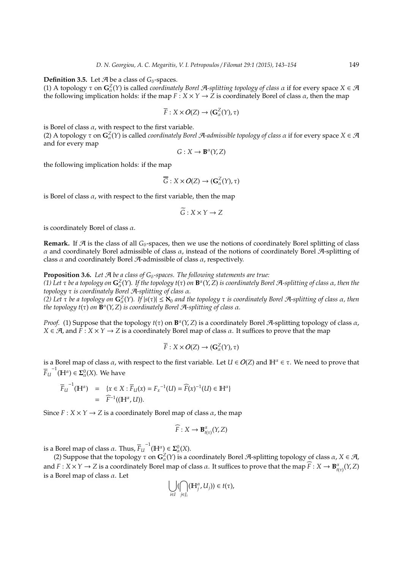**Definition 3.5.** Let  $\mathcal{A}$  be a class of  $G_\delta$ -spaces.

(1) A topology τ on **G**<sup>*Z*</sup>(*Y*) is called *coordinately Borel A*-splitting topology of class α if for every space *X* ∈ *A* the following implication holds: if the map  $F: X \times Y \to Z$  is coordinately Borel of class  $\alpha$ , then the map

$$
\overline{F}: X \times O(Z) \to (\mathbf{G}_{\alpha}^{Z}(Y), \tau)
$$

is Borel of class  $\alpha$ , with respect to the first variable.

(2) A topology  $\tau$  on  $G^Z_\alpha(Y)$  is called *coordinately Borel A*-admissible topology of class  $\alpha$  if for every space  $X \in \mathcal{A}$ and for every map

$$
G:X\to \mathbf{B}^{\alpha}(Y,Z)
$$

the following implication holds: if the map

$$
\overline{G}: X \times O(Z) \to (\mathbf{G}_{\alpha}^{Z}(Y), \tau)
$$

is Borel of class  $\alpha$ , with respect to the first variable, then the map

$$
\widetilde{G}: X \times Y \to Z
$$

is coordinately Borel of class  $\alpha$ .

**Remark.** If  $\mathcal{A}$  is the class of all  $G_{\delta}$ -spaces, then we use the notions of coordinately Borel splitting of class α and coordinately Borel admissible of class α, instead of the notions of coordinately Borel A-splitting of class  $\alpha$  and coordinately Borel A-admissible of class  $\alpha$ , respectively.

**Proposition 3.6.** Let  $\mathcal{A}$  be a class of  $G_{\delta}$ -spaces. The following statements are true: (1) Let τ be a topology on  $G^Z_\alpha(Y)$ . If the topology t(τ) on  $\bf B}^\alpha(Y,Z)$  is coordinately Borel A-splitting of class  $\alpha$ , then the *topology* τ *is coordinately Borel* A*-splitting of class* α*.*

(2) Let τ *be a topology on*  $G^Z_α(Y)$ . If  $|s(τ)| ≤ \aleph_0$  and the topology τ *is coordinately Borel* A-splitting of class  $α$ , then *the topology t*(τ) *on* **B** α (*Y*,*Z*) *is coordinately Borel* A*-splitting of class* α*.*

*Proof.* (1) Suppose that the topology  $t(\tau)$  on  $\mathbf{B}^{\alpha}(Y, Z)$  is a coordinately Borel A-splitting topology of class  $\alpha$ ,  $X \in \mathcal{A}$ , and  $\overline{F}$  :  $X \times Y \to Z$  is a coordinately Borel map of class  $\alpha$ . It suffices to prove that the map

$$
\overline{F}: X \times O(Z) \to (\mathbf{G}_{\alpha}^{Z}(Y), \tau)
$$

is a Borel map of class  $\alpha$ , with respect to the first variable. Let  $U \in O(Z)$  and  $\mathbb{H}^{\alpha} \in \tau$ . We need to prove that  $\overline{F}_U^{-1}(\mathbb{H}^{\alpha}) \in \Sigma_{\alpha}^0(X)$ . We have

$$
\begin{array}{rcl}\n\overline{F}_U^{-1}(\mathbb{H}^{\alpha}) & = & \{x \in X : \overline{F}_U(x) = F_x^{-1}(U) = \widehat{F}(x)^{-1}(U) \in \mathbb{H}^{\alpha}\} \\
& = & \widehat{F}^{-1}((\mathbb{H}^{\alpha}, U)).\n\end{array}
$$

Since  $F: X \times Y \rightarrow Z$  is a coordinately Borel map of class  $\alpha$ , the map

$$
\widehat{F}: X \to \mathbf{B}_{t(\tau)}^{\alpha}(Y, Z)
$$

is a Borel map of class  $\alpha$ . Thus,  $\overline{F}_U^{-1}(\mathbb{H}^{\alpha}) \in \Sigma^0_\alpha(X)$ .

(2) Suppose that the topology  $\tau$  on  $G^Z_\alpha(Y)$  is a coordinately Borel A-splitting topology of class  $\alpha$ ,  $X \in \mathcal{A}$ , and  $F: X \times Y \to Z$  is a coordinately Borel map of class  $\alpha$ . It suffices to prove that the map  $\widehat{F}: X \to \mathbf{B}_{t(\tau)}^{\alpha}(Y, Z)$ is a Borel map of class  $\alpha$ . Let

$$
\bigcup_{i\in I} (\bigcap_{j\in J_i} (\mathbb{H}_j^\alpha, U_j)) \in t(\tau),
$$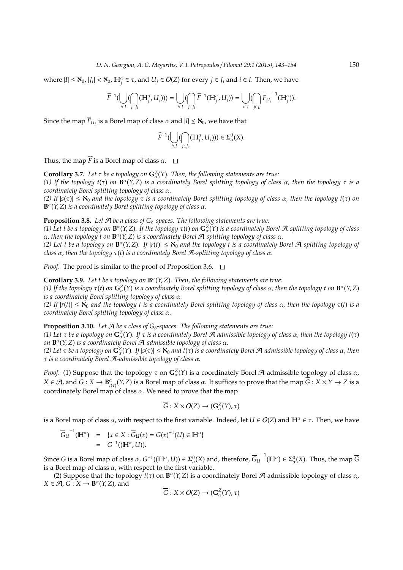where  $|I| \leq \aleph_0$ ,  $|J_i| < \aleph_0$ ,  $\mathbb{H}_j^{\alpha} \in \tau$ , and  $U_j \in O(Z)$  for every  $j \in J_i$  and  $i \in I$ . Then, we have

$$
\widehat{F}^{-1}(\bigcup_{i\in I}(\bigcap_{j\in J_i}(\mathbb{H}^{\alpha}_{j},U_j)))=\bigcup_{i\in I}(\bigcap_{j\in J_i}\widehat{F}^{-1}(\mathbb{H}^{\alpha}_{j},U_j))=\bigcup_{i\in I}(\bigcap_{j\in J_i}\overline{F}_{U_j}^{\phantom{U}-1}(\mathbb{H}^{\alpha}_{j})).
$$

Since the map  $\overline{F}_{U_j}$  is a Borel map of class  $\alpha$  and  $|I|\leq \aleph_0$ , we have that

$$
\widehat{F}^{-1}(\bigcup_{i\in I}(\bigcap_{j\in J_i}(\mathbb{H}_j^{\alpha},U_j)))\in \Sigma_{\alpha}^0(X).
$$

Thus, the map  $\widehat{F}$  is a Borel map of class  $\alpha$ .  $\Box$ 

**Corollary 3.7.** Let  $\tau$  be a topology on  $G^Z_\alpha(Y)$ . Then, the following statements are true:

*(1) If the topology t*(τ) *on* **B** α (*Y*,*Z*) *is a coordinately Borel splitting topology of class* α*, then the topology* τ *is a coordinately Borel splitting topology of class* α*.*

*(2) If* |*s*(τ)| ≤ ℵ<sup>0</sup> *and the topology* τ *is a coordinately Borel splitting topology of class* α*, then the topology t*(τ) *on* **B** α (*Y*,*Z*) *is a coordinately Borel splitting topology of class* α*.*

## **Proposition 3.8.** Let  $\mathcal A$  be a class of  $G_\delta$ -spaces. The following statements are true:

(1) Let t be a topology on  $\mathbf{B}^{\alpha}(Y, Z)$ . If the topology  $\tau(t)$  on  $\mathbf{G}^Z_{\alpha}(Y)$  is a coordinately Borel A-splitting topology of class α*, then the topology t on* **B** α (*Y*,*Z*) *is a coordinately Borel* A*-splitting topology of class* α*.*

(2) Let t be a topology on  $\mathbf{B}^{\alpha}(Y, Z)$ . If  $|r(t)| \leq \aleph_0$  and the topology t is a coordinately Borel A-splitting topology of *class* α*, then the topology* τ(*t*) *is a coordinately Borel* A*-splitting topology of class* α*.*

*Proof.* The proof is similar to the proof of Proposition 3.6. □

**Corollary 3.9.** *Let t be a topology on* **B** α (*Y*,*Z*)*. Then, the following statements are true:*

*(1) If the topology* τ(*t*) *on* **G***<sup>Z</sup>* α (*Y*) *is a coordinately Borel splitting topology of class* α*, then the topology t on* **B** α (*Y*,*Z*) *is a coordinately Borel splitting topology of class* α*.*

*(2) If* |*r*(*t*)| ≤ ℵ<sup>0</sup> *and the topology t is a coordinately Borel splitting topology of class* α*, then the topology* τ(*t*) *is a coordinately Borel splitting topology of class* α*.*

**Proposition 3.10.** Let  $\mathcal{A}$  be a class of  $G_{\delta}$ -spaces. The following statements are true:

*(1) Let* τ *be a topology on* **G***<sup>Z</sup>* α (*Y*)*. If* τ *is a coordinately Borel* A*-admissible topology of class* α*, then the topology t*(τ) *on* **B** α (*Y*,*Z*) *is a coordinately Borel* A*-admissible topology of class* α*.*

(2) Let τ be a topology on  $G^Z_\alpha(Y)$ . If  $|s(\tau)| \le \aleph_0$  and  $t(\tau)$  is a coordinately Borel A-admissible topology of class  $\alpha$ , then τ *is a coordinately Borel* A*-admissible topology of class* α*.*

*Proof.* (1) Suppose that the topology  $\tau$  on  $G^Z_\alpha(Y)$  is a coordinately Borel A-admissible topology of class  $\alpha$ ,  $X \in \mathcal{A}$ , and  $G: X \to \mathbf{B}_{t(\tau)}^{\alpha}(Y, Z)$  is a Borel map of class  $\alpha$ . It suffices to prove that the map  $\widetilde{G}: X \times Y \to Z$  is a coordinately Borel map of class  $\alpha$ . We need to prove that the map

$$
\overline{G}: X \times O(Z) \to (\mathbf{G}_{\alpha}^{Z}(Y), \tau)
$$

is a Borel map of class  $\alpha$ , with respect to the first variable. Indeed, let  $U \in O(Z)$  and  $\mathbb{H}^{\alpha} \in \tau$ . Then, we have

$$
\overline{G}_{U}^{-1}(\mathbb{H}^{\alpha}) = \{x \in X : \overline{G}_{U}(x) = G(x)^{-1}(U) \in \mathbb{H}^{\alpha}\}
$$
  
=  $G^{-1}((\mathbb{H}^{\alpha}, U)).$ 

Since *G* is a Borel map of class  $\alpha$ ,  $G^{-1}((\mathbb{H}^{\alpha},U))\in \mathbf{\Sigma}^{0}_{\alpha}(X)$  and, therefore,  $\overline{G}_{U}^{\phantom{U^{-1}U}}(\mathbb{H}^{\alpha})\in \mathbf{\Sigma}^{0}_{\alpha}(X)$ . Thus, the map  $\overline{G}$ is a Borel map of class  $\alpha$ , with respect to the first variable.

(2) Suppose that the topology  $t(\tau)$  on  $\mathbf{B}^{\alpha}(Y, Z)$  is a coordinately Borel A-admissible topology of class  $\alpha$ ,  $X \in \mathcal{A}, G: X \to \mathbf{B}^{\alpha}(Y, Z)$ , and

$$
\overline{G}: X \times O(Z) \to (\mathbf{G}_{\alpha}^{Z}(Y), \tau)
$$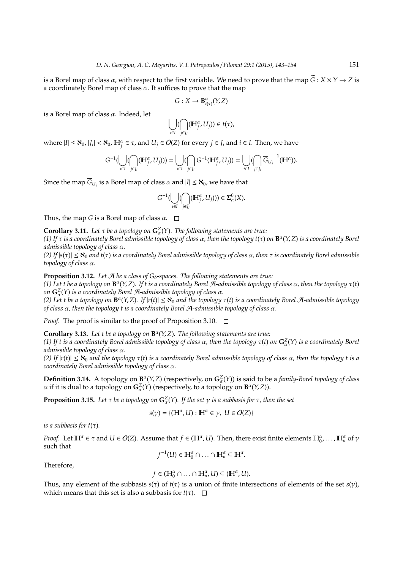is a Borel map of class  $\alpha$ , with respect to the first variable. We need to prove that the map  $\tilde{G}: X \times Y \to Z$  is a coordinately Borel map of class  $\alpha$ . It suffices to prove that the map

$$
G: X \to \mathbf{B}_{t(\tau)}^{\alpha}(Y, Z)
$$

is a Borel map of class  $\alpha$ . Indeed, let

$$
\bigcup_{i\in I} (\bigcap_{j\in J_i} ({\mathbb H}^{\alpha}_{j}, U_j))\in t(\tau),
$$

where  $|I| \leq \aleph_0$ ,  $|J_i| < \aleph_0$ ,  $\mathbb{H}_j^{\alpha} \in \tau$ , and  $U_j \in O(Z)$  for every  $j \in J_i$  and  $i \in I$ . Then, we have

$$
G^{-1}(\bigcup_{i\in I}(\bigcap_{j\in J_i}({\mathbb H}^{\alpha}_j,U_j)))=\bigcup_{i\in I}(\bigcap_{j\in J_i}G^{-1}({\mathbb H}^{\alpha}_j,U_j))=\bigcup_{i\in I}(\bigcap_{j\in J_i}\overline{G}_{U_j}^{\phantom{U}-1}({\mathbb H}^{\alpha})).
$$

Since the map  $\overline{G}_{U_j}$  is a Borel map of class  $\alpha$  and  $|I|\leq \aleph_0$ , we have that

$$
G^{-1}(\bigcup_{i\in I}(\bigcap_{j\in J_i}({\mathbb H}^{\alpha}_{j},U_j)))\in \Sigma_{\alpha}^0(X).
$$

Thus, the map *G* is a Borel map of class  $\alpha$ .  $\Box$ 

**Corollary 3.11.** Let  $\tau$  be a topology on  $\mathbf{G}_{\alpha}^{\mathbb{Z}}(Y)$ . The following statements are true:

*(1) If* τ *is a coordinately Borel admissible topology of class* α*, then the topology t*(τ) *on* **B** α (*Y*,*Z*) *is a coordinately Borel admissible topology of class* α*.*

*(2) If* |*s*(τ)| ≤ ℵ<sup>0</sup> *and t*(τ) *is a coordinately Borel admissible topology of class* α*, then* τ *is coordinately Borel admissible topology of class* α*.*

**Proposition 3.12.** Let  $\mathcal A$  be a class of  $G_\delta$ -spaces. The following statements are true:

*(1) Let t be a topology on* **B** α (*Y*,*Z*)*. If t is a coordinately Borel* A*-admissible topology of class* α*, then the topology* τ(*t*) *on* **G***<sup>Z</sup>* α (*Y*) *is a coordinately Borel* A*-admissible topology of class* α*.*

*(2) Let t be a topology on* **B** α (*Y*,*Z*)*. If* |*r*(*t*)| ≤ ℵ<sup>0</sup> *and the topology* τ(*t*) *is a coordinately Borel* A*-admissible topology of class* α*, then the topology t is a coordinately Borel* A*-admissible topology of class* α*.*

*Proof.* The proof is similar to the proof of Proposition 3.10.  $\Box$ 

**Corollary 3.13.** *Let t be a topology on* **B** α (*Y*,*Z*)*. The following statements are true:*

*(1) If t is a coordinately Borel admissible topology of class* α*, then the topology* τ(*t*) *on* **G***<sup>Z</sup>* α (*Y*) *is a coordinately Borel admissible topology of class* α*.*

*(2) If* |*r*(*t*)| ≤ ℵ<sup>0</sup> *and the topology* τ(*t*) *is a coordinately Borel admissible topology of class* α*, then the topology t is a coordinately Borel admissible topology of class* α*.*

**Definition 3.14.** A topology on  $\mathbf{B}^{\alpha}(Y, Z)$  (respectively, on  $\mathbf{G}^Z_{\alpha}(Y)$ ) is said to be a *family-Borel topology of class α* if it is dual to a topology on  $G^Z_\alpha(Y)$  (respectively, to a topology on  $\mathbf{B}^\alpha(Y,Z)$ ).

**Proposition 3.15.** Let  $\tau$  be a topology on  $\mathbf{G}_{\alpha}^Z(Y)$ . If the set  $\gamma$  is a subbasis for  $\tau$ , then the set

$$
s(\gamma) = \{ (\mathbb{H}^{\alpha}, U) : \mathbb{H}^{\alpha} \in \gamma, U \in O(Z) \}
$$

*is a subbasis for*  $t(\tau)$ *.* 

*Proof.* Let  $\mathbb{H}^{\alpha} \in \tau$  and  $U \in O(Z)$ . Assume that  $f \in (\mathbb{H}^{\alpha}, U)$ . Then, there exist finite elements  $\mathbb{H}^{\alpha}_{0}$ ,...,  $\mathbb{H}^{\alpha}_{n}$  of  $\gamma$ such that

$$
f^{-1}(U) \in \mathbb{H}_0^{\alpha} \cap \ldots \cap \mathbb{H}_n^{\alpha} \subseteq \mathbb{H}^{\alpha}.
$$

Therefore,

$$
f\in(\mathbb{H}_0^{\alpha}\cap\ldots\cap\mathbb{H}_n^{\alpha},U)\subseteq(\mathbb{H}^{\alpha},U).
$$

Thus, any element of the subbasis  $s(\tau)$  of  $t(\tau)$  is a union of finite intersections of elements of the set  $s(\gamma)$ , which means that this set is also a subbasis for  $t(\tau)$ .  $\square$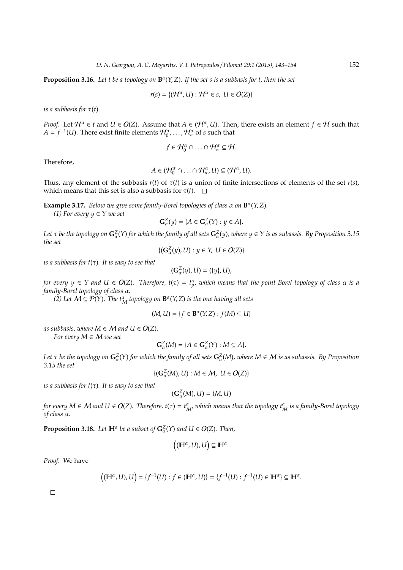**Proposition 3.16.** Let t be a topology on  $\mathbf{B}^{\alpha}(Y, Z)$ . If the set s is a subbasis for t, then the set

$$
r(s) = \{(\mathcal{H}^{\alpha}, U) : \mathcal{H}^{\alpha} \in s, \ U \in O(Z)\}\
$$

*is a subbasis for*  $\tau(t)$ *.* 

*Proof.* Let  $H^{\alpha} \in t$  and  $U \in O(Z)$ . Assume that  $A \in (H^{\alpha}, U)$ . Then, there exists an element  $f \in H$  such that  $A = f^{-1}(U)$ . There exist finite elements  $\mathcal{H}^{\alpha}_0, \ldots, \mathcal{H}^{\alpha}_n$  of *s* such that

$$
f\in\mathcal{H}_0^{\alpha}\cap\ldots\cap\mathcal{H}_n^{\alpha}\subseteq\mathcal{H}.
$$

Therefore,

$$
A\in(\mathcal{H}_0^\alpha\cap\ldots\cap\mathcal{H}_n^\alpha,U)\subseteq(\mathcal{H}^\alpha,U).
$$

Thus, any element of the subbasis  $r(t)$  of  $\tau(t)$  is a union of finite intersections of elements of the set  $r(s)$ , which means that this set is also a subbasis for  $\tau(t)$ .  $\Box$ 

**Example 3.17.** *Below we give some family-Borel topologies of class* α *on* **B** α (*Y*,*Z*)*.*

*(1) For every*  $y \in Y$  *we set* 

$$
\mathbf{G}_{\alpha}^{Z}(y) = \{ A \in \mathbf{G}_{\alpha}^{Z}(Y) : y \in A \}.
$$

Let  $\tau$  be the topology on  $G^Z_\alpha(Y)$  for which the family of all sets  $G^Z_\alpha(y)$ , where  $y\in Y$  is as subassis. By Proposition 3.15 *the set*

$$
\{(\mathbf{G}_\alpha^Z(y), U): y\in Y,\; U\in O(Z)\}
$$

*is a subbasis for t*(τ)*. It is easy to see that*

$$
(\mathbf{G}_{\alpha}^{Z}(y),U)=(\{y\},U),
$$

*for every*  $y \in Y$  and  $U \in O(Z)$ . Therefore,  $t(\tau) = t_p^{\alpha}$ , which means that the point-Borel topology of class  $\alpha$  is a *family-Borel topology of class* α*.*

*(2)* Let  $M \subseteq \mathcal{P}(Y)$ . The  $t^{\alpha}_{M}$  topology on  $\mathbf{B}^{\alpha}(Y, Z)$  is the one having all sets

$$
(M, U) = \{ f \in \mathbf{B}^{\alpha}(Y, Z) : f(M) \subseteq U \}
$$

*as subbasis, where*  $M \in \mathcal{M}$  *and*  $U \in O(Z)$ *. For every M* ∈ M *we set*

$$
\mathbf{G}_{\alpha}^{Z}(M) = \{A \in \mathbf{G}_{\alpha}^{Z}(Y) : M \subseteq A\}.
$$

Let  $\tau$  be the topology on  $G^Z_\alpha(Y)$  for which the family of all sets  $G^Z_\alpha(M)$ , where  $M\in\mathcal{M}$  is as subassis. By Proposition *3.15 the set*

 $\{(\mathbf{G}_\alpha^Z(M), U): M \in \mathcal{M}, \ U \in O(Z)\}$ 

*is a subbasis for t*(τ)*. It is easy to see that*

$$
(\mathbf{G}_{\alpha}^{Z}(M),U)=(M,U)
$$

for every  $M \in \mathcal{M}$  and  $U \in O(Z)$ . Therefore,  $t(\tau)=t^\alpha_{M'}$  which means that the topology  $t^\alpha_M$  is a family-Borel topology *of class* α*.*

**Proposition 3.18.** Let  $\mathbb{H}^{\alpha}$  be a subset of  $\mathbf{G}_{\alpha}^{Z}(Y)$  and  $U \in O(Z)$ . Then,

$$
((\mathbb{H}^{\alpha},U),U)\subseteq\mathbb{H}^{\alpha}.
$$

*Proof.* We have

$$
((\mathbb{H}^{\alpha}, U), U) = \{f^{-1}(U) : f \in (\mathbb{H}^{\alpha}, U)\} = \{f^{-1}(U) : f^{-1}(U) \in \mathbb{H}^{\alpha}\} \subseteq \mathbb{H}^{\alpha}.
$$

 $\Box$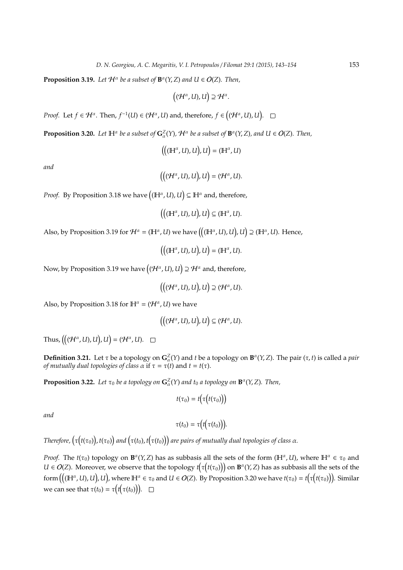**Proposition 3.19.** Let  $\mathcal{H}^{\alpha}$  be a subset of  $\mathbf{B}^{\alpha}(Y, Z)$  and  $U \in O(Z)$ *. Then,* 

$$
((\mathcal{H}^{\alpha},U),U)\supseteq \mathcal{H}^{\alpha}.
$$

*Proof.* Let  $f \in H^{\alpha}$ . Then,  $f^{-1}(U) \in (H^{\alpha}, U)$  and, therefore,  $f \in ((H^{\alpha}, U), U)$ .

**Proposition 3.20.** Let  $\mathbb{H}^{\alpha}$  be a subset of  $\mathbf{G}^Z_{\alpha}(Y)$ ,  $\mathcal{H}^{\alpha}$  be a subset of  $\mathbf{B}^{\alpha}(Y, Z)$ , and  $U \in O(Z)$ . Then,

 $\left(\left((\mathbb{H}^{\alpha}, U), U\right), U\right) = (\mathbb{H}^{\alpha}, U)$ 

*and*

$$
\big(\big((\mathcal{H}^\alpha,U),U\big),U\big)=(\mathcal{H}^\alpha,U).
$$

*Proof.* By Proposition 3.18 we have  $((\mathbb{H}^{\alpha}, U), U) \subseteq \mathbb{H}^{\alpha}$  and, therefore,

$$
\big(\big((\mathbb{H}^{\alpha},U),U\big),U\big)\subseteq (\mathbb{H}^{\alpha},U).
$$

Also, by Proposition 3.19 for  $\mathcal{H}^{\alpha} = (\mathbb{H}^{\alpha}, U)$  we have  $\big((\mathbb{H}^{\alpha}, U), U\big)$ ,  $U\big) \supseteq (\mathbb{H}^{\alpha}, U)$ . Hence,

$$
\big(\big((\mathbb{H}^\alpha, U), U\big), U\big) = (\mathbb{H}^\alpha, U).
$$

Now, by Proposition 3.19 we have  $\big((\mathcal{H}^\alpha,U),U\big)\supseteq \mathcal{H}^\alpha$  and, therefore,

$$
\big(\big((\mathcal{H}^\alpha,U),U\big),U\big)\supseteq(\mathcal{H}^\alpha,U).
$$

Also, by Proposition 3.18 for  $\mathbb{H}^{\alpha} = (\mathcal{H}^{\alpha}, U)$  we have

$$
\big(\big((\mathcal{H}^\alpha,U),U\big),U\big)\subseteq (\mathcal{H}^\alpha,U).
$$

Thus,  $((\mathcal{H}^{\alpha}, U), U), U) = (\mathcal{H}^{\alpha}, U).$ 

**Definition 3.21.** Let  $\tau$  be a topology on  $\mathbf{G}_{\alpha}^Z(Y)$  and *t* be a topology on  $\mathbf{B}^{\alpha}(Y, Z)$ . The pair  $(\tau, t)$  is called a *pair of mutually dual topologies of class*  $\alpha$  if  $\tau = \tau(t)$  and  $t = t(\tau)$ .

**Proposition 3.22.** Let  $\tau_0$  be a topology on  $\mathbf{G}_{\alpha}^Z(Y)$  and  $t_0$  a topology on  $\mathbf{B}^{\alpha}(Y, Z)$ . Then,

$$
t(\tau_0)=t\big(\tau\big(t(\tau_0)\big)\big)
$$

*and*

$$
\tau(t_0)=\tau\big(t\big(\tau(t_0)\big)\big).
$$

Therefore,  $\big(\tau\big(t(\tau_0)\big)$ ,  $t(\tau_0)\big)$  and  $\big(\tau(t_0)$ ,  $t\big(\tau(t_0)\big)\big)$  are pairs of mutually dual topologies of class  $\alpha$ .

*Proof.* The  $t(\tau_0)$  topology on  $\mathbf{B}^{\alpha}(Y, Z)$  has as subbasis all the sets of the form  $(\mathbb{H}^{\alpha}, U)$ , where  $\mathbb{H}^{\alpha} \in \tau_0$  and  $U \in O(Z)$ . Moreover, we observe that the topology  $t(\tau(t(\tau_0)))$  on  $\mathbf{B}^{\alpha}(Y, Z)$  has as subbasis all the sets of the form  $\big((\mathbb{H}^{\alpha},U),U\big)$ ,  $U\big)$ , where  $\mathbb{H}^{\alpha}\in\tau_{0}$  and  $U\in O(Z)$ . By Proposition 3.20 we have  $t(\tau_{0})=t\big(\tau\big(t(\tau_{0})\big)\big)$ . Similar we can see that  $\tau(t_0) = \tau\big(t\big(\tau(t_0)\big)\big)$ .